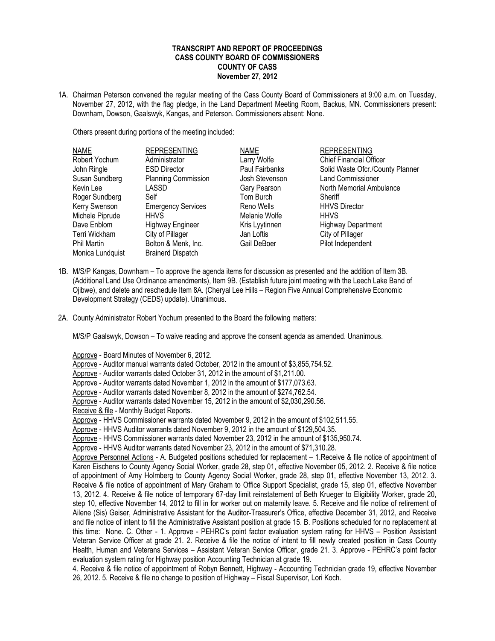## **TRANSCRIPT AND REPORT OF PROCEEDINGS CASS COUNTY BOARD OF COMMISSIONERS COUNTY OF CASS November 27, 2012**

1A. Chairman Peterson convened the regular meeting of the Cass County Board of Commissioners at 9:00 a.m. on Tuesday, November 27, 2012, with the flag pledge, in the Land Department Meeting Room, Backus, MN. Commissioners present: Downham, Dowson, Gaalswyk, Kangas, and Peterson. Commissioners absent: None.

Others present during portions of the meeting included:

| <b>NAME</b>      | <b>REPRESENTING</b>        | <b>NAME</b>    | <b>REPRESENTING</b>              |
|------------------|----------------------------|----------------|----------------------------------|
| Robert Yochum    | Administrator              | Larry Wolfe    | <b>Chief Financial Officer</b>   |
| John Ringle      | <b>ESD Director</b>        | Paul Fairbanks | Solid Waste Ofcr./County Planner |
| Susan Sundberg   | <b>Planning Commission</b> | Josh Stevenson | <b>Land Commissioner</b>         |
| Kevin Lee        | LASSD                      | Gary Pearson   | North Memorial Ambulance         |
| Roger Sundberg   | Self                       | Tom Burch      | Sheriff                          |
| Kerry Swenson    | <b>Emergency Services</b>  | Reno Wells     | <b>HHVS Director</b>             |
| Michele Piprude  | <b>HHVS</b>                | Melanie Wolfe  | <b>HHVS</b>                      |
| Dave Enblom      | <b>Highway Engineer</b>    | Kris Lyytinnen | <b>Highway Department</b>        |
| Terri Wickham    | City of Pillager           | Jan Loftis     | City of Pillager                 |
| Phil Martin      | Bolton & Menk, Inc.        | Gail DeBoer    | Pilot Independent                |
| Monica Lundquist | <b>Brainerd Dispatch</b>   |                |                                  |

- 1B. M/S/P Kangas, Downham To approve the agenda items for discussion as presented and the addition of Item 3B. (Additional Land Use Ordinance amendments), Item 9B. (Establish future joint meeting with the Leech Lake Band of Ojibwe), and delete and reschedule Item 8A. (Cheryal Lee Hills – Region Five Annual Comprehensive Economic Development Strategy (CEDS) update). Unanimous.
- 2A. County Administrator Robert Yochum presented to the Board the following matters:

M/S/P Gaalswyk, Dowson – To waive reading and approve the consent agenda as amended. Unanimous.

Approve - Board Minutes of November 6, 2012.

Approve - Auditor manual warrants dated October, 2012 in the amount of \$3,855,754.52.

Approve - Auditor warrants dated October 31, 2012 in the amount of \$1,211.00.

Approve - Auditor warrants dated November 1, 2012 in the amount of \$177,073.63.

Approve - Auditor warrants dated November 8, 2012 in the amount of \$274,762.54.

Approve - Auditor warrants dated November 15, 2012 in the amount of \$2,030,290.56.

Receive & file - Monthly Budget Reports.

Approve - HHVS Commissioner warrants dated November 9, 2012 in the amount of \$102,511.55.

Approve - HHVS Auditor warrants dated November 9, 2012 in the amount of \$129,504.35.

Approve - HHVS Commissioner warrants dated November 23, 2012 in the amount of \$135,950.74.

Approve - HHVS Auditor warrants dated November 23, 2012 in the amount of \$71,310.28.

Approve Personnel Actions - A. Budgeted positions scheduled for replacement – 1.Receive & file notice of appointment of Karen Eischens to County Agency Social Worker, grade 28, step 01, effective November 05, 2012. 2. Receive & file notice of appointment of Amy Holmberg to County Agency Social Worker, grade 28, step 01, effective November 13, 2012. 3. Receive & file notice of appointment of Mary Graham to Office Support Specialist, grade 15, step 01, effective November 13, 2012. 4. Receive & file notice of temporary 67-day limit reinstatement of Beth Krueger to Eligibility Worker, grade 20, step 10, effective November 14, 2012 to fill in for worker out on maternity leave. 5. Receive and file notice of retirement of Ailene (Sis) Geiser, Administrative Assistant for the Auditor-Treasurer's Office, effective December 31, 2012, and Receive and file notice of intent to fill the Administrative Assistant position at grade 15. B. Positions scheduled for no replacement at this time: None. C. Other - 1. Approve - PEHRC's point factor evaluation system rating for HHVS – Position Assistant Veteran Service Officer at grade 21. 2. Receive & file the notice of intent to fill newly created position in Cass County Health, Human and Veterans Services – Assistant Veteran Service Officer, grade 21. 3. Approve - PEHRC's point factor evaluation system rating for Highway position Accounting Technician at grade 19.

4. Receive & file notice of appointment of Robyn Bennett, Highway - Accounting Technician grade 19, effective November 26, 2012. 5. Receive & file no change to position of Highway – Fiscal Supervisor, Lori Koch.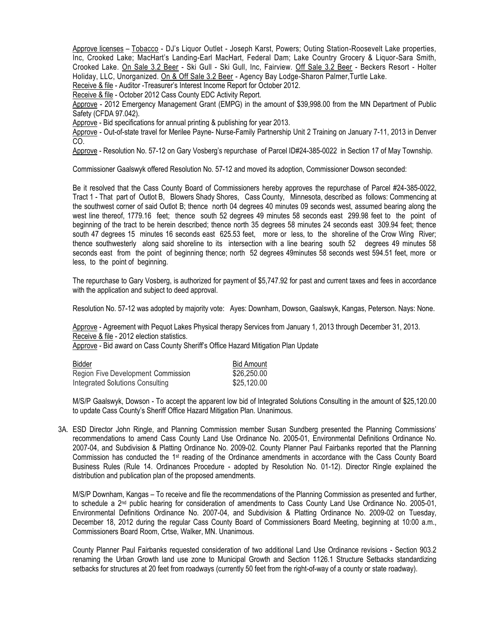Approve licenses – Tobacco - DJ's Liquor Outlet - Joseph Karst, Powers; Outing Station-Roosevelt Lake properties, Inc, Crooked Lake; MacHart's Landing-Earl MacHart, Federal Dam; Lake Country Grocery & Liquor-Sara Smith, Crooked Lake. On Sale 3.2 Beer - Ski Gull - Ski Gull, Inc, Fairview. Off Sale 3.2 Beer - Beckers Resort - Holter Holiday, LLC, Unorganized. On & Off Sale 3.2 Beer - Agency Bay Lodge-Sharon Palmer,Turtle Lake.

Receive & file - Auditor -Treasurer's Interest Income Report for October 2012.

Receive & file - October 2012 Cass County EDC Activity Report.

Approve - 2012 Emergency Management Grant (EMPG) in the amount of \$39,998.00 from the MN Department of Public Safety (CFDA 97.042).

Approve - Bid specifications for annual printing & publishing for year 2013.

Approve - Out-of-state travel for Merilee Payne- Nurse-Family Partnership Unit 2 Training on January 7-11, 2013 in Denver CO.

Approve - Resolution No. 57-12 on Gary Vosberg's repurchase of Parcel ID#24-385-0022 in Section 17 of May Township.

Commissioner Gaalswyk offered Resolution No. 57-12 and moved its adoption, Commissioner Dowson seconded:

Be it resolved that the Cass County Board of Commissioners hereby approves the repurchase of Parcel #24-385-0022, Tract 1 - That part of Outlot B, Blowers Shady Shores, Cass County, Minnesota, described as follows: Commencing at the southwest corner of said Outlot B; thence north 04 degrees 40 minutes 09 seconds west, assumed bearing along the west line thereof, 1779.16 feet; thence south 52 degrees 49 minutes 58 seconds east 299.98 feet to the point of beginning of the tract to be herein described; thence north 35 degrees 58 minutes 24 seconds east 309.94 feet; thence south 47 degrees 15 minutes 16 seconds east 625.53 feet, more or less, to the shoreline of the Crow Wing River; thence southwesterly along said shoreline to its intersection with a line bearing south 52 degrees 49 minutes 58 seconds east from the point of beginning thence; north 52 degrees 49minutes 58 seconds west 594.51 feet, more or less, to the point of beginning.

The repurchase to Gary Vosberg, is authorized for payment of \$5,747.92 for past and current taxes and fees in accordance with the application and subject to deed approval.

Resolution No. 57-12 was adopted by majority vote: Ayes: Downham, Dowson, Gaalswyk, Kangas, Peterson. Nays: None.

Approve - Agreement with Pequot Lakes Physical therapy Services from January 1, 2013 through December 31, 2013. Receive & file - 2012 election statistics.

Approve - Bid award on Cass County Sheriff's Office Hazard Mitigation Plan Update

| Bidder                             | <b>Bid Amount</b> |
|------------------------------------|-------------------|
| Region Five Development Commission | \$26,250.00       |
| Integrated Solutions Consulting    | \$25,120.00       |

M/S/P Gaalswyk, Dowson - To accept the apparent low bid of Integrated Solutions Consulting in the amount of \$25,120.00 to update Cass County's Sheriff Office Hazard Mitigation Plan. Unanimous.

3A. ESD Director John Ringle, and Planning Commission member Susan Sundberg presented the Planning Commissions' recommendations to amend Cass County Land Use Ordinance No. 2005-01, Environmental Definitions Ordinance No. 2007-04, and Subdivision & Platting Ordinance No. 2009-02. County Planner Paul Fairbanks reported that the Planning Commission has conducted the 1st reading of the Ordinance amendments in accordance with the Cass County Board Business Rules (Rule 14. Ordinances Procedure - adopted by Resolution No. 01-12). Director Ringle explained the distribution and publication plan of the proposed amendments.

M/S/P Downham, Kangas – To receive and file the recommendations of the Planning Commission as presented and further, to schedule a 2nd public hearing for consideration of amendments to Cass County Land Use Ordinance No. 2005-01, Environmental Definitions Ordinance No. 2007-04, and Subdivision & Platting Ordinance No. 2009-02 on Tuesday, December 18, 2012 during the regular Cass County Board of Commissioners Board Meeting, beginning at 10:00 a.m., Commissioners Board Room, Crtse, Walker, MN. Unanimous.

County Planner Paul Fairbanks requested consideration of two additional Land Use Ordinance revisions - Section 903.2 renaming the Urban Growth land use zone to Municipal Growth and Section 1126.1 Structure Setbacks standardizing setbacks for structures at 20 feet from roadways (currently 50 feet from the right-of-way of a county or state roadway).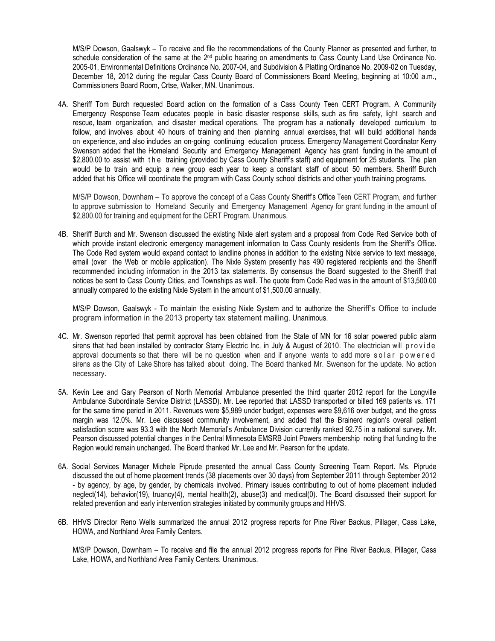M/S/P Dowson, Gaalswyk – To receive and file the recommendations of the County Planner as presented and further, to schedule consideration of the same at the 2<sup>nd</sup> public hearing on amendments to Cass County Land Use Ordinance No. 2005-01, Environmental Definitions Ordinance No. 2007-04, and Subdivision & Platting Ordinance No. 2009-02 on Tuesday, December 18, 2012 during the regular Cass County Board of Commissioners Board Meeting, beginning at 10:00 a.m., Commissioners Board Room, Crtse, Walker, MN. Unanimous.

4A. Sheriff Tom Burch requested Board action on the formation of a Cass County Teen CERT Program. A Community Emergency Response Team educates people in basic disaster response skills, such as fire safety, light search and rescue, team organization, and disaster medical operations. The program has a nationally developed curriculum to follow, and involves about 40 hours of training and then planning annual exercises, that will build additional hands on experience, and also includes an on-going continuing education process. Emergency Management Coordinator Kerry Swenson added that the Homeland Security and Emergency Management Agency has grant funding in the amount of \$2,800.00 to assist with the training (provided by Cass County Sheriff's staff) and equipment for 25 students. The plan would be to train and equip a new group each year to keep a constant staff of about 50 members. Sheriff Burch added that his Office will coordinate the program with Cass County school districts and other youth training programs.

M/S/P Dowson, Downham – To approve the concept of a Cass County Sheriff's Office Teen CERT Program, and further to approve submission to Homeland Security and Emergency Management Agency for grant funding in the amount of \$2,800.00 for training and equipment for the CERT Program. Unanimous.

4B. Sheriff Burch and Mr. Swenson discussed the existing Nixle alert system and a proposal from Code Red Service both of which provide instant electronic emergency management information to Cass County residents from the Sheriff's Office. The Code Red system would expand contact to landline phones in addition to the existing Nixle service to text message, email (over the Web or mobile application). The Nixle System presently has 490 registered recipients and the Sheriff recommended including information in the 2013 tax statements. By consensus the Board suggested to the Sheriff that notices be sent to Cass County Cities, and Townships as well. The quote from Code Red was in the amount of \$13,500.00 annually compared to the existing Nixle System in the amount of \$1,500.00 annually.

M/S/P Dowson, Gaalswyk - To maintain the existing Nixle System and to authorize the Sheriff's Office to include program information in the 2013 property tax statement mailing. Unanimous.

- 4C. Mr. Swenson reported that permit approval has been obtained from the State of MN for 16 solar powered public alarm sirens that had been installed by contractor Starry Electric Inc. in July & August of 2010. The electrician will provide approval documents so that there will be no question when and if anyone wants to add more solar powered sirens as the City of Lake Shore has talked about doing. The Board thanked Mr. Swenson for the update. No action necessary.
- 5A. Kevin Lee and Gary Pearson of North Memorial Ambulance presented the third quarter 2012 report for the Longville Ambulance Subordinate Service District (LASSD). Mr. Lee reported that LASSD transported or billed 169 patients vs. 171 for the same time period in 2011. Revenues were \$5,989 under budget, expenses were \$9,616 over budget, and the gross margin was 12.0%. Mr. Lee discussed community involvement, and added that the Brainerd region's overall patient satisfaction score was 93.3 with the North Memorial's Ambulance Division currently ranked 92.75 in a national survey. Mr. Pearson discussed potential changes in the Central Minnesota EMSRB Joint Powers membership noting that funding to the Region would remain unchanged. The Board thanked Mr. Lee and Mr. Pearson for the update.
- 6A. Social Services Manager Michele Piprude presented the annual Cass County Screening Team Report. Ms. Piprude discussed the out of home placement trends (38 placements over 30 days) from September 2011 through September 2012 - by agency, by age, by gender, by chemicals involved. Primary issues contributing to out of home placement included neglect(14), behavior(19), truancy(4), mental health(2), abuse(3) and medical(0). The Board discussed their support for related prevention and early intervention strategies initiated by community groups and HHVS.
- 6B. HHVS Director Reno Wells summarized the annual 2012 progress reports for Pine River Backus, Pillager, Cass Lake, HOWA, and Northland Area Family Centers.

M/S/P Dowson, Downham – To receive and file the annual 2012 progress reports for Pine River Backus, Pillager, Cass Lake, HOWA, and Northland Area Family Centers. Unanimous.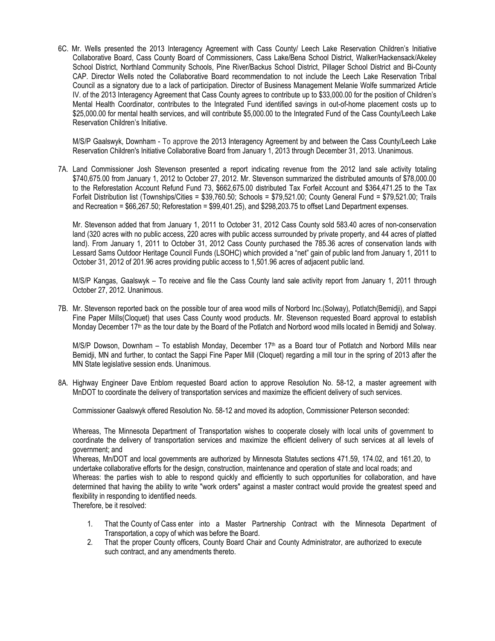6C. Mr. Wells presented the 2013 Interagency Agreement with Cass County/ Leech Lake Reservation Children's Initiative Collaborative Board, Cass County Board of Commissioners, Cass Lake/Bena School District, Walker/Hackensack/Akeley School District, Northland Community Schools, Pine River/Backus School District, Pillager School District and Bi-County CAP. Director Wells noted the Collaborative Board recommendation to not include the Leech Lake Reservation Tribal Council as a signatory due to a lack of participation. Director of Business Management Melanie Wolfe summarized Article IV. of the 2013 Interagency Agreement that Cass County agrees to contribute up to \$33,000.00 for the position of Children's Mental Health Coordinator, contributes to the Integrated Fund identified savings in out-of-home placement costs up to \$25,000.00 for mental health services, and will contribute \$5,000.00 to the Integrated Fund of the Cass County/Leech Lake Reservation Children's Initiative.

M/S/P Gaalswyk, Downham - To approve the 2013 Interagency Agreement by and between the Cass County/Leech Lake Reservation Children's Initiative Collaborative Board from January 1, 2013 through December 31, 2013. Unanimous.

7A. Land Commissioner Josh Stevenson presented a report indicating revenue from the 2012 land sale activity totaling \$740,675.00 from January 1, 2012 to October 27, 2012. Mr. Stevenson summarized the distributed amounts of \$78,000.00 to the Reforestation Account Refund Fund 73, \$662,675.00 distributed Tax Forfeit Account and \$364,471.25 to the Tax Forfeit Distribution list (Townships/Cities = \$39,760.50; Schools = \$79,521.00; County General Fund = \$79,521.00; Trails and Recreation = \$66,267.50; Reforestation = \$99,401.25), and \$298,203.75 to offset Land Department expenses.

Mr. Stevenson added that from January 1, 2011 to October 31, 2012 Cass County sold 583.40 acres of non-conservation land (320 acres with no public access, 220 acres with public access surrounded by private property, and 44 acres of platted land). From January 1, 2011 to October 31, 2012 Cass County purchased the 785.36 acres of conservation lands with Lessard Sams Outdoor Heritage Council Funds (LSOHC) which provided a "net" gain of public land from January 1, 2011 to October 31, 2012 of 201.96 acres providing public access to 1,501.96 acres of adjacent public land.

M/S/P Kangas, Gaalswyk – To receive and file the Cass County land sale activity report from January 1, 2011 through October 27, 2012. Unanimous.

7B. Mr. Stevenson reported back on the possible tour of area wood mills of Norbord Inc.(Solway), Potlatch(Bemidji), and Sappi Fine Paper Mills(Cloquet) that uses Cass County wood products. Mr. Stevenson requested Board approval to establish Monday December 17<sup>th</sup> as the tour date by the Board of the Potlatch and Norbord wood mills located in Bemidii and Solway.

M/S/P Dowson, Downham – To establish Monday, December 17th as a Board tour of Potlatch and Norbord Mills near Bemidji, MN and further, to contact the Sappi Fine Paper Mill (Cloquet) regarding a mill tour in the spring of 2013 after the MN State legislative session ends. Unanimous.

8A. Highway Engineer Dave Enblom requested Board action to approve Resolution No. 58-12, a master agreement with MnDOT to coordinate the delivery of transportation services and maximize the efficient delivery of such services.

Commissioner Gaalswyk offered Resolution No. 58-12 and moved its adoption, Commissioner Peterson seconded:

Whereas, The Minnesota Department of Transportation wishes to cooperate closely with local units of government to coordinate the delivery of transportation services and maximize the efficient delivery of such services at all levels of government; and

Whereas, Mn/DOT and local governments are authorized by Minnesota Statutes sections 471.59, 174.02, and 161.20, to undertake collaborative efforts for the design, construction, maintenance and operation of state and local roads; and

Whereas: the parties wish to able to respond quickly and efficiently to such opportunities for collaboration, and have determined that having the ability to write "work orders" against a master contract would provide the greatest speed and flexibility in responding to identified needs.

Therefore, be it resolved:

- 1. That the County of Cass enter into a Master Partnership Contract with the Minnesota Department of Transportation, a copy of which was before the Board.
- 2. That the proper County officers, County Board Chair and County Administrator, are authorized to execute such contract, and any amendments thereto.